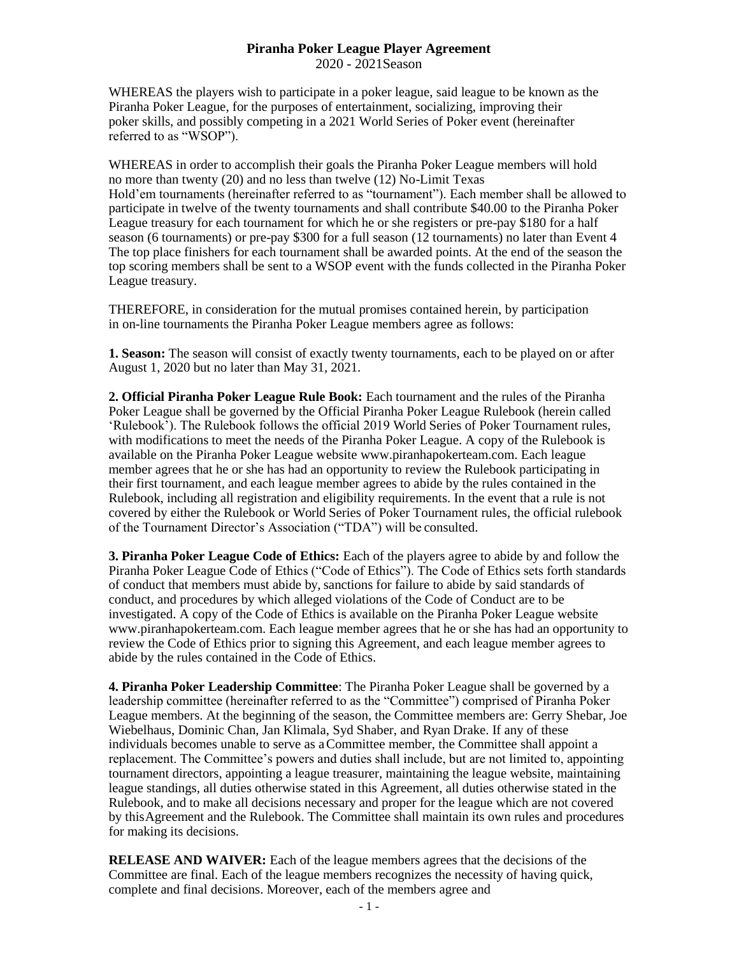## **Piranha Poker League Player Agreement** 2020 - 2021Season

WHEREAS the players wish to participate in a poker league, said league to be known as the Piranha Poker League, for the purposes of entertainment, socializing, improving their poker skills, and possibly competing in a 2021 World Series of Poker event (hereinafter referred to as "WSOP").

WHEREAS in order to accomplish their goals the Piranha Poker League members will hold no more than twenty (20) and no less than twelve (12) No-Limit Texas Hold'em tournaments (hereinafter referred to as "tournament"). Each member shall be allowed to participate in twelve of the twenty tournaments and shall contribute \$40.00 to the Piranha Poker League treasury for each tournament for which he or she registers or pre-pay \$180 for a half season (6 tournaments) or pre-pay \$300 for a full season (12 tournaments) no later than Event 4 The top place finishers for each tournament shall be awarded points. At the end of the season the top scoring members shall be sent to a WSOP event with the funds collected in the Piranha Poker League treasury.

THEREFORE, in consideration for the mutual promises contained herein, by participation in on-line tournaments the Piranha Poker League members agree as follows:

**1. Season:** The season will consist of exactly twenty tournaments, each to be played on or after August 1, 2020 but no later than May 31, 2021.

**2. Official Piranha Poker League Rule Book:** Each tournament and the rules of the Piranha Poker League shall be governed by the Official Piranha Poker League Rulebook (herein called 'Rulebook'). The Rulebook follows the official 2019 World Series of Poker Tournament rules, with modifications to meet the needs of the Piranha Poker League. A copy of the Rulebook is available on the Piranha Poker League website [www.piranhapokerteam.com.](http://www.piranhapokerteam.com/) Each league member agrees that he or she has had an opportunity to review the Rulebook participating in their first tournament, and each league member agrees to abide by the rules contained in the Rulebook, including all registration and eligibility requirements. In the event that a rule is not covered by either the Rulebook or World Series of Poker Tournament rules, the official rulebook of the Tournament Director's Association ("TDA") will be consulted.

**3. Piranha Poker League Code of Ethics:** Each of the players agree to abide by and follow the Piranha Poker League Code of Ethics ("Code of Ethics"). The Code of Ethics sets forth standards of conduct that members must abide by, sanctions for failure to abide by said standards of conduct, and procedures by which alleged violations of the Code of Conduct are to be investigated. A copy of the Code of Ethics is available on the Piranha Poker League website [www.piranhapokerteam.com.](http://www.piranhapokerteam.com/) Each league member agrees that he or she has had an opportunity to review the Code of Ethics prior to signing this Agreement, and each league member agrees to abide by the rules contained in the Code of Ethics.

**4. Piranha Poker Leadership Committee**: The Piranha Poker League shall be governed by a leadership committee (hereinafter referred to as the "Committee") comprised of Piranha Poker League members. At the beginning of the season, the Committee members are: Gerry Shebar, Joe Wiebelhaus, Dominic Chan, Jan Klimala, Syd Shaber, and Ryan Drake. If any of these individuals becomes unable to serve as aCommittee member, the Committee shall appoint a replacement. The Committee's powers and duties shall include, but are not limited to, appointing tournament directors, appointing a league treasurer, maintaining the league website, maintaining league standings, all duties otherwise stated in this Agreement, all duties otherwise stated in the Rulebook, and to make all decisions necessary and proper for the league which are not covered by thisAgreement and the Rulebook. The Committee shall maintain its own rules and procedures for making its decisions.

**RELEASE AND WAIVER:** Each of the league members agrees that the decisions of the Committee are final. Each of the league members recognizes the necessity of having quick, complete and final decisions. Moreover, each of the members agree and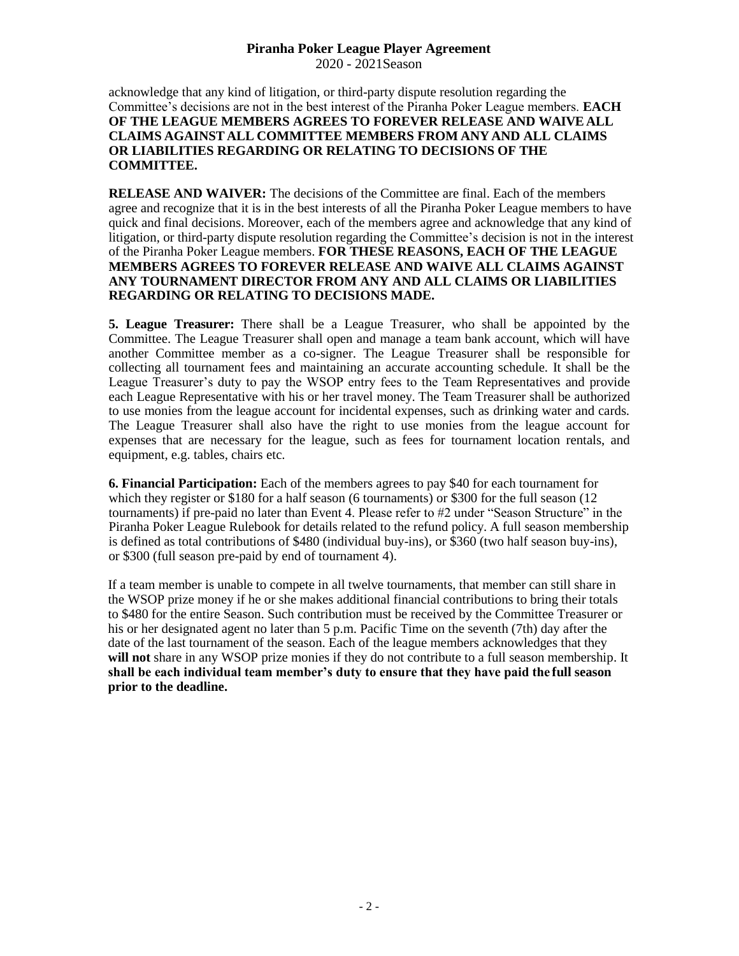## **Piranha Poker League Player Agreement**

2020 - 2021Season

acknowledge that any kind of litigation, or third-party dispute resolution regarding the Committee's decisions are not in the best interest of the Piranha Poker League members. **EACH OF THE LEAGUE MEMBERS AGREES TO FOREVER RELEASE AND WAIVE ALL CLAIMS AGAINST ALL COMMITTEE MEMBERS FROM ANY AND ALL CLAIMS OR LIABILITIES REGARDING OR RELATING TO DECISIONS OF THE COMMITTEE.**

**RELEASE AND WAIVER:** The decisions of the Committee are final. Each of the members agree and recognize that it is in the best interests of all the Piranha Poker League members to have quick and final decisions. Moreover, each of the members agree and acknowledge that any kind of litigation, or third-party dispute resolution regarding the Committee's decision is not in the interest of the Piranha Poker League members. **FOR THESE REASONS, EACH OF THE LEAGUE MEMBERS AGREES TO FOREVER RELEASE AND WAIVE ALL CLAIMS AGAINST ANY TOURNAMENT DIRECTOR FROM ANY AND ALL CLAIMS OR LIABILITIES REGARDING OR RELATING TO DECISIONS MADE.**

**5. League Treasurer:** There shall be a League Treasurer, who shall be appointed by the Committee. The League Treasurer shall open and manage a team bank account, which will have another Committee member as a co-signer. The League Treasurer shall be responsible for collecting all tournament fees and maintaining an accurate accounting schedule. It shall be the League Treasurer's duty to pay the WSOP entry fees to the Team Representatives and provide each League Representative with his or her travel money. The Team Treasurer shall be authorized to use monies from the league account for incidental expenses, such as drinking water and cards. The League Treasurer shall also have the right to use monies from the league account for expenses that are necessary for the league, such as fees for tournament location rentals, and equipment, e.g. tables, chairs etc.

**6. Financial Participation:** Each of the members agrees to pay \$40 for each tournament for which they register or \$180 for a half season (6 tournaments) or \$300 for the full season (12 tournaments) if pre-paid no later than Event 4. Please refer to #2 under "Season Structure" in the Piranha Poker League Rulebook for details related to the refund policy. A full season membership is defined as total contributions of \$480 (individual buy-ins), or \$360 (two half season buy-ins), or \$300 (full season pre-paid by end of tournament 4).

If a team member is unable to compete in all twelve tournaments, that member can still share in the WSOP prize money if he or she makes additional financial contributions to bring their totals to \$480 for the entire Season. Such contribution must be received by the Committee Treasurer or his or her designated agent no later than 5 p.m. Pacific Time on the seventh (7th) day after the date of the last tournament of the season. Each of the league members acknowledges that they will not share in any WSOP prize monies if they do not contribute to a full season membership. It **shall be each individual team member's duty to ensure that they have paid the full season prior to the deadline.**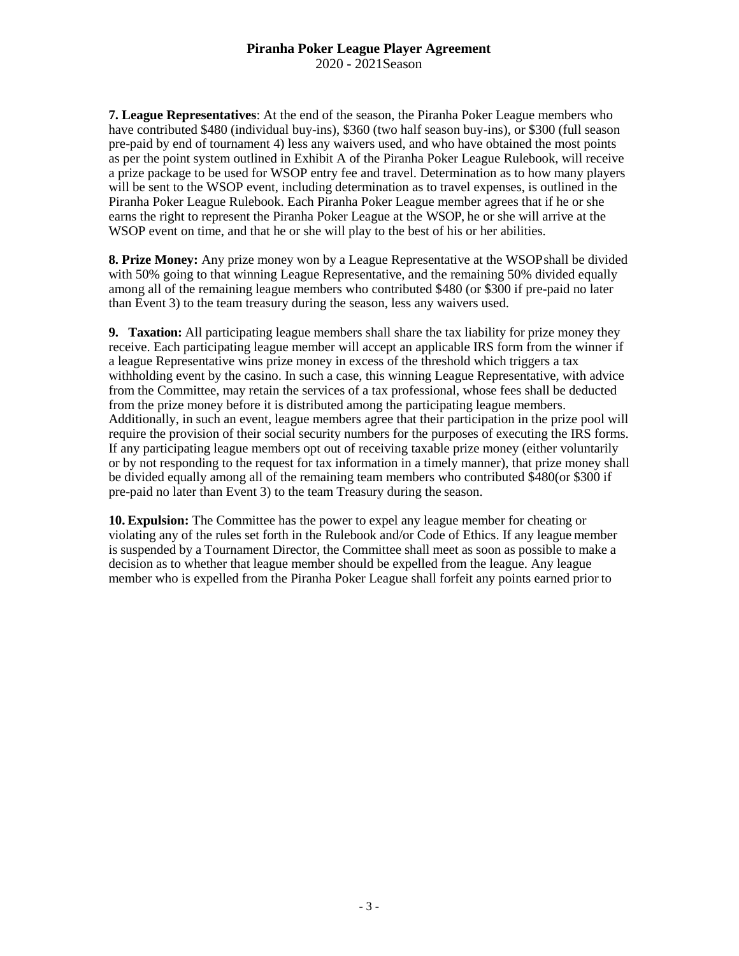**7. League Representatives**: At the end of the season, the Piranha Poker League members who have contributed \$480 (individual buy-ins), \$360 (two half season buy-ins), or \$300 (full season pre-paid by end of tournament 4) less any waivers used, and who have obtained the most points as per the point system outlined in Exhibit A of the Piranha Poker League Rulebook, will receive a prize package to be used for WSOP entry fee and travel. Determination as to how many players will be sent to the WSOP event, including determination as to travel expenses, is outlined in the Piranha Poker League Rulebook. Each Piranha Poker League member agrees that if he or she earns the right to represent the Piranha Poker League at the WSOP, he or she will arrive at the WSOP event on time, and that he or she will play to the best of his or her abilities.

**8. Prize Money:** Any prize money won by a League Representative at the WSOPshall be divided with 50% going to that winning League Representative, and the remaining 50% divided equally among all of the remaining league members who contributed \$480 (or \$300 if pre-paid no later than Event 3) to the team treasury during the season, less any waivers used.

**9. Taxation:** All participating league members shall share the tax liability for prize money they receive. Each participating league member will accept an applicable IRS form from the winner if a league Representative wins prize money in excess of the threshold which triggers a tax withholding event by the casino. In such a case, this winning League Representative, with advice from the Committee, may retain the services of a tax professional, whose fees shall be deducted from the prize money before it is distributed among the participating league members. Additionally, in such an event, league members agree that their participation in the prize pool will require the provision of their social security numbers for the purposes of executing the IRS forms. If any participating league members opt out of receiving taxable prize money (either voluntarily or by not responding to the request for tax information in a timely manner), that prize money shall be divided equally among all of the remaining team members who contributed \$480(or \$300 if pre-paid no later than Event 3) to the team Treasury during the season.

**10. Expulsion:** The Committee has the power to expel any league member for cheating or violating any of the rules set forth in the Rulebook and/or Code of Ethics. If any league member is suspended by a Tournament Director, the Committee shall meet as soon as possible to make a decision as to whether that league member should be expelled from the league. Any league member who is expelled from the Piranha Poker League shall forfeit any points earned prior to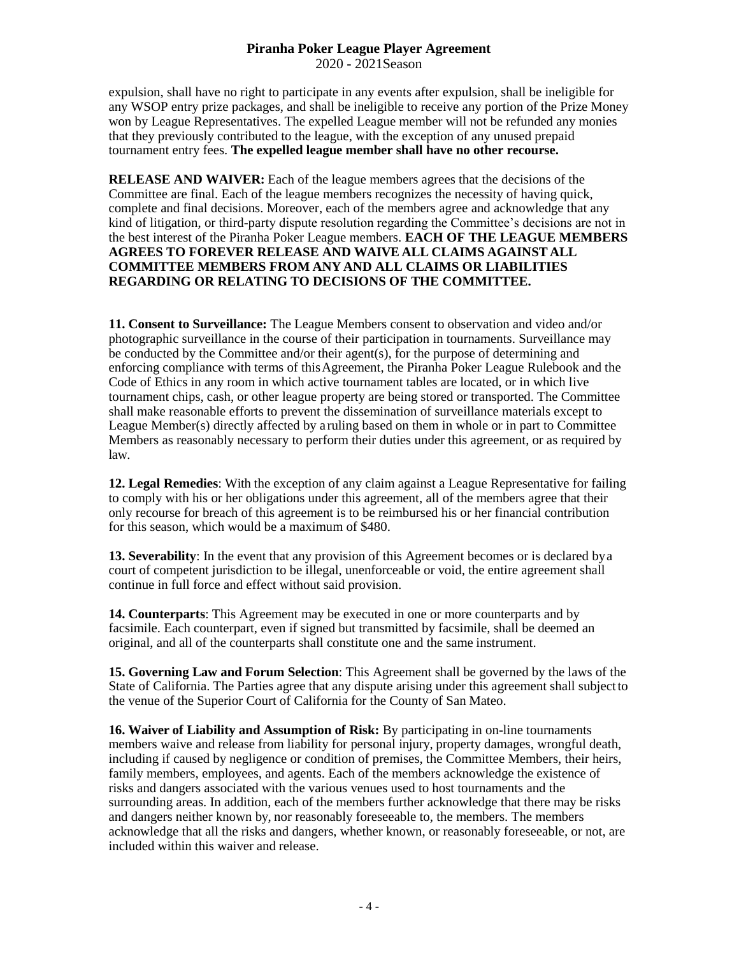## **Piranha Poker League Player Agreement** 2020 - 2021Season

expulsion, shall have no right to participate in any events after expulsion, shall be ineligible for any WSOP entry prize packages, and shall be ineligible to receive any portion of the Prize Money won by League Representatives. The expelled League member will not be refunded any monies that they previously contributed to the league, with the exception of any unused prepaid tournament entry fees. **The expelled league member shall have no other recourse.**

**RELEASE AND WAIVER:** Each of the league members agrees that the decisions of the Committee are final. Each of the league members recognizes the necessity of having quick, complete and final decisions. Moreover, each of the members agree and acknowledge that any kind of litigation, or third-party dispute resolution regarding the Committee's decisions are not in the best interest of the Piranha Poker League members. **EACH OF THE LEAGUE MEMBERS AGREES TO FOREVER RELEASE AND WAIVE ALL CLAIMS AGAINST ALL COMMITTEE MEMBERS FROM ANY AND ALL CLAIMS OR LIABILITIES REGARDING OR RELATING TO DECISIONS OF THE COMMITTEE.**

**11. Consent to Surveillance:** The League Members consent to observation and video and/or photographic surveillance in the course of their participation in tournaments. Surveillance may be conducted by the Committee and/or their agent(s), for the purpose of determining and enforcing compliance with terms of thisAgreement, the Piranha Poker League Rulebook and the Code of Ethics in any room in which active tournament tables are located, or in which live tournament chips, cash, or other league property are being stored or transported. The Committee shall make reasonable efforts to prevent the dissemination of surveillance materials except to League Member(s) directly affected by aruling based on them in whole or in part to Committee Members as reasonably necessary to perform their duties under this agreement, or as required by law.

**12. Legal Remedies**: With the exception of any claim against a League Representative for failing to comply with his or her obligations under this agreement, all of the members agree that their only recourse for breach of this agreement is to be reimbursed his or her financial contribution for this season, which would be a maximum of \$480.

**13. Severability**: In the event that any provision of this Agreement becomes or is declared bya court of competent jurisdiction to be illegal, unenforceable or void, the entire agreement shall continue in full force and effect without said provision.

**14. Counterparts**: This Agreement may be executed in one or more counterparts and by facsimile. Each counterpart, even if signed but transmitted by facsimile, shall be deemed an original, and all of the counterparts shall constitute one and the same instrument.

**15. Governing Law and Forum Selection**: This Agreement shall be governed by the laws of the State of California. The Parties agree that any dispute arising under this agreement shall subjectto the venue of the Superior Court of California for the County of San Mateo.

**16. Waiver of Liability and Assumption of Risk:** By participating in on-line tournaments members waive and release from liability for personal injury, property damages, wrongful death, including if caused by negligence or condition of premises, the Committee Members, their heirs, family members, employees, and agents. Each of the members acknowledge the existence of risks and dangers associated with the various venues used to host tournaments and the surrounding areas. In addition, each of the members further acknowledge that there may be risks and dangers neither known by, nor reasonably foreseeable to, the members. The members acknowledge that all the risks and dangers, whether known, or reasonably foreseeable, or not, are included within this waiver and release.